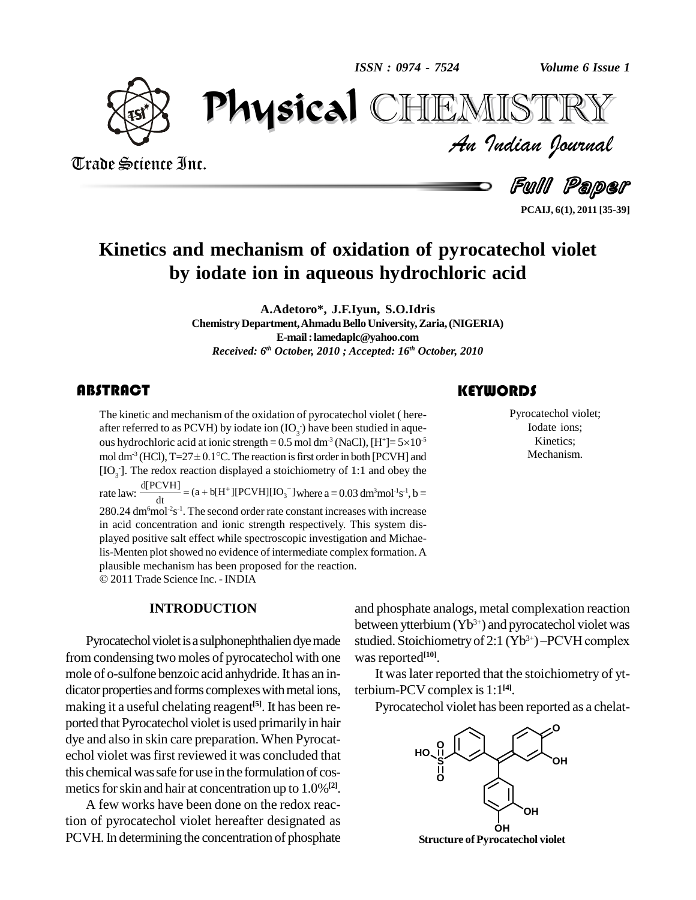*ISSN : 0974 - 7524*

*Volume 6 Issue 1*



Trade Science Inc.

Trade Science Inc.

*Volume 6 Issue 1*<br>IISTRY<br>Indian Iournal PhysicalCHEMISTRY

Full Paper

**PCAIJ, 6(1), 2011 [35-39]**

# **Kinetics and mechanism of oxidation of pyrocatechol violet by iodate ion in aqueous hydrochloric acid**

**A.Adetoro\*, J.F.Iyun, S.O.Idris ChemistryDepartment,AhmaduBelloUniversity,Zaria,(NIGERIA) E-mail:[lamedaplc@yahoo.com](mailto:lamedaplc@yahoo.com)** *Received: 6 th October, 2010 ; Accepted: 16 th October, 2010*

# **ABSTRACT**

The kinetic and mechanis<br>after referred to as PCVI<br>ous hydrochloric acid at i The kinetic and mechanism of the oxidation of pyrocatechol violet ( here-<br>after referred to as PCVH) by iodate ion  $(IO_3)$  have been studied in aque-<br>ous hydrochloric acid at ionic strength = 0.5 mol dm<sup>-3</sup> (NaCl), [H<sup>+</sup>] after referred to as PCVH) by iodate ion  $(IO_{3})$  have been studied in aqueous hydrochloric acid at ionic strength =  $0.5$  mol dm<sup>-3</sup> (NaCl), [H<sup>+</sup>]=  $5 \times 10^{-5}$ mol dm<sup>-3</sup> (HCl),  $T=27\pm0.1^{\circ}$ C. The reaction is first order in both [PCVH] and  $[IO<sub>3</sub>]$ . The redox reaction displayed a stoichiometry of 1:1 and obey the [IO<sub>3</sub>]. The redox reaction displayed a stoichiometry of 1:1 and obey the rate law:  $\frac{d[PCVH]}{dt} = (a + b[H^+][PCVH][IO_3^-]$  where  $a = 0.03$  dm<sup>3</sup>mol<sup>-1</sup>s<sup>-1</sup>, b =  $280.24$  dm<sup>6</sup>mol<sup>-2</sup>s<sup>-1</sup>. The second order rate constant increases with increase in acid concentration and ionic strength respectively. This system dis played positive salt effect while spectroscopic investigation and Michaelis-Menten plot showed no evidence of intermediate complex formation. A plausible mechanism has been proposed for the reaction. 2011 Trade Science Inc. - INDIA

#### **INTRODUCTION**

Pyrocatechol violet is a sulphonephthalien dye made from condensing two moles of pyrocatechol with one mole of o-sulfone benzoic acid anhydride. It has an in-<br>dicator properties and forms complexes with metal ions, making it a useful chelating reagent<sup>[5]</sup>. It has been re-<br>ported that Pyrocatechol violet is used primarily in hair dye and also in skin care preparation. When Pyrocat echol violet wasfirst reviewed it was concluded that this chemical was safe for use in the formulation of cosmetics for skin and hair at concentration up to 1.0%<sup>[2]</sup>.

A few works have been done on the redox reaction of pyrocatechol violet hereafter designated as PCVH. In determining the concentration of phosphate

# **KEYWORDS**

Pyrocatechol vic<br>Iodate ions;<br>Kinetics; Pyrocatechol violet; Iodate ions; Kinetics; Mechanism.

and phosphate analogs, metal complexation reaction between ytterbium(Yb 3+) and pyrocatechol violet was studied. Stoichiometry of 2:1  $(Yb^{3+})$  – PCVH complex mplexation reaction<br>ocatechol violet was<br><sup>3+</sup>) –PCVH complex was reported<sup>[10]</sup>.

It was later reported that the stoichiometry of ytterbium-PCV complex is1:1 **[4]**.

Pyrocatechol violet has been reported as a chelat-



**Structure** of Pyrocatechol violet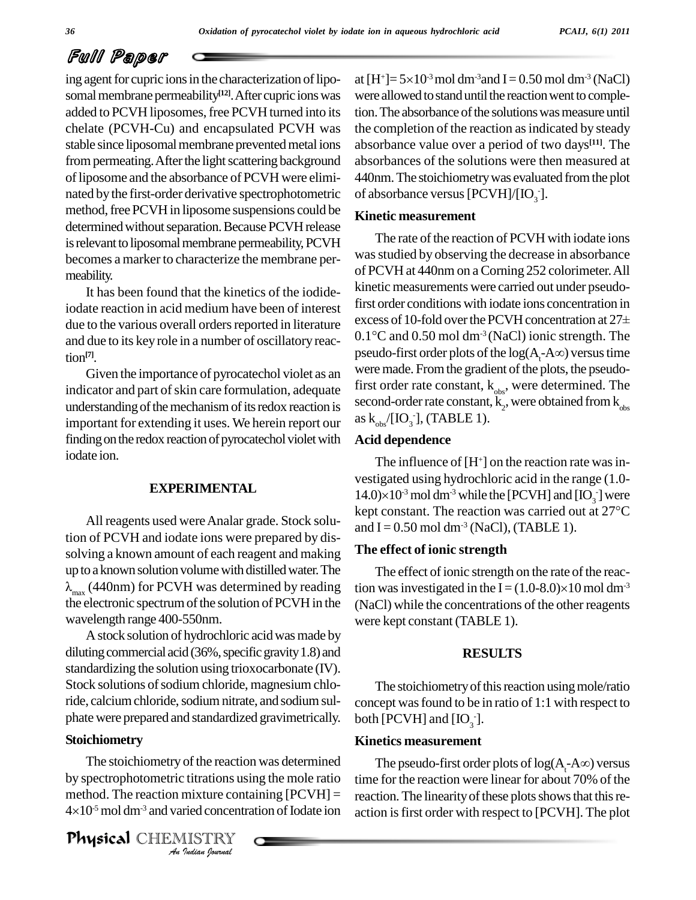# Full Paper

ing agent for cupric ions in the characterization of liposomal membrane permeability<sup>[12]</sup>. After cupric ions was were added to PCVH liposomes, free PCVH turned into its chelate (PCVH-Cu) and encapsulated PCVH was stable since liposomal membrane prevented metal ions from permeating. After the light scattering background of liposome and the absorbance of PCVH were eliminated by the first-order derivative spectrophotometric method, free PCVH in liposome suspensions could be determined without separation. Because PCVH release is relevant to liposomal membrane permeability, PCVH becomes a marker to characterize the membrane per meability.

It has been found that the kinetics of the iodideiodate reaction in acid medium have been of interest<br>due to the verious overall orders reported in literature<br>excess of 10-fold over the PCVH concentration at 27 $\pm$ due to the various overall orders reported in literature and due to its key role in a number of oscillatory reac-<br>pseudo-first order plots of the  $log(A, -A\infty)$  versus time tion **[7]**.

Given the importance of pyrocatechol violet as an indicator and part of skin care formulation, adequate understanding of the mechanism of its redox reaction is important for extending it uses. We herein report our finding on the redox reaction of pyrocatechol violet with iodate ion.

#### **EXPERIMENTAL**

tion of PCVH and iodate ions were prepared by dissolving a known amount of each reagent and making The ef up to a known solution volume with distilled water. The  $\lambda_{\text{max}}$  (440nm) for PCVH was determined by reading the electronic spectrum of the solution of PCVH in the wavelength range 400-550nm.

A stock solution of hydrochloric acid was made by diluting commercial acid  $(36\%$ , specific gravity 1.8) and standardizing the solution using trioxocarbonate (IV). Stock solutions of sodium chloride, magnesium chloride, calcium chloride, sodium nitrate, and sodium sulphate were prepared and standardized gravimetrically.

#### **Stoichiometry**

The stoichiometry of the reaction was determined The *I* of the reaction<br>*I* itrations us<br>*I* indian *Iournal*<br>*I Indian Journal* by spectrophotometric titrations using the mole ratio method. The reaction mixture containing  $[PCVH] =$  reaction. by spectrophot<br>method. The re<br>4×10<sup>-5</sup> mol dm  $4\times10^{-5}$  mol dm<sup>-3</sup> and varied concentration of Iodate ion

Physical CHEMISTRY

at [H+]=  $5\times10^3$  mol dm<sup>-3</sup>and I = 0.50 mol dm<sup>-3</sup> (NaCl) were allowed to stand until the reaction went to completion. The absorbance of the solutions was measure until the completion of the reaction as indicated by steady absorbance value over a period of two days **[11]**. The absorbances of the solutions were then measured at 440nm.The stoichiometrywas evaluated fromthe plot of absorbance versus [PCVH]/[IO $_3$ ].

#### **Kinetic measurement**

The rate of the reaction of PCVH with iodate ions was studied by observing the decrease in absorbance of PCVH at 440nm on aCorning 252 colorimeter.All kinetic measurements were carried out under pseudo-<br>first order conditions with iodate ions concentration in<br>excess of 10-fold over the PCVH concentration at 27± first order conditions with iodate ions concentration in first order conditions with iodate ions concentration in<br>excess of 10-fold over the PCVH concentration at  $27\pm$ <br>0.1°C and 0.50 mol dm<sup>-3</sup> (NaCl) ionic strength. The excess of 10-fold over the PCVH concentration at 27 $\pm$ <br>0.1°C and 0.50 mol dm<sup>-3</sup> (NaCl) ionic strength. The<br>pseudo-first order plots of the log(A<sub>t</sub>-A $\infty$ ) versus time were made. From the gradient of the plots, the pseudofirst order rate constant,  $k_{obs}$ , were determined. The second-order rate constant,  $k_2$ , were obtained from  $k_{obs}$ <br>as  $k_{obs}/[IO_3]$ , (TABLE 1). as  $k_{obs}$  [IO<sub>3</sub>], (TABLE 1).

#### **Acid dependence**

All reagents used were Analar grade. Stock solu-<br>  $\frac{\text{kept constant. The reaction was carried out at } 27^{\circ}\text{C}}{\text{and L=0.50 mol dm}^3(\text{MeCl})$  (TABLE 1) The influence of  $[H^+]$  on the reaction rate was investigated using hydrochloric acid in the range (1.0- The influence of [H<sup>+</sup>] on the reaction rate was investigated using hydrochloric acid in the range (1.0-<br>14.0)×10<sup>-3</sup> mol dm<sup>-3</sup> while the [PCVH] and [IO<sub>3</sub>] were vestigated using hydrochloric acid in the range (1.0-<br>14.0)×10<sup>-3</sup> mol dm<sup>-3</sup> while the [PCVH] and [IO<sub>3</sub><sup>-</sup>] were<br>kept constant. The reaction was carried out at 27°C and  $I = 0.50$  mol dm<sup>-3</sup> (NaCl), (TABLE 1).

### **The effect of ionic strength**

The effect of ionic strength on the rate of the reaction was investigated in the I =  $(1.0-8.0)\times10$  mol dm<sup>-3</sup> (NaCl) while the concentrations of the other reagents were kept constant (TABLE 1).

#### **RESULTS**

The stoichiometry of this reaction using mole/ratio concept wasfound to be in ratio of 1:1 with respect to both [PCVH] and  $[IO<sub>3</sub>$ ].

#### **Kinetics measurement**

The pseudo-first order plots of  $log(A, A\infty)$  versus time for the reaction were linear for about 70% of the reaction. The linearity of these plots shows that this reaction isfirst order with respect to [PCVH]. The plot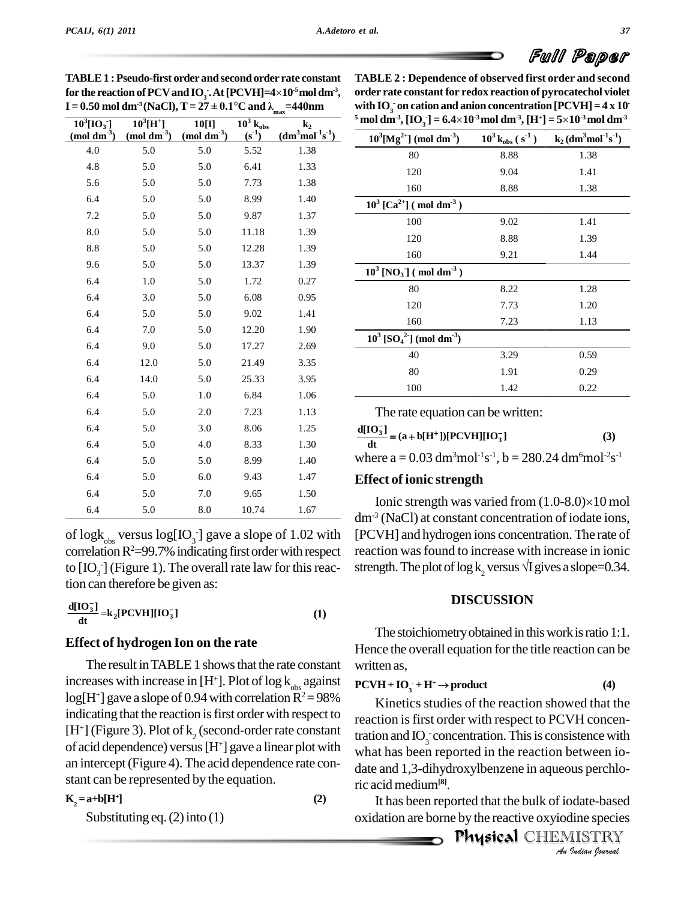# Full Paper

| $\mathbf{I} = 0.50$ mol dm <sup>o</sup> (NaCl), $\mathbf{I} = 27 \pm 0.1$ °C and $\mathbf{\lambda}_{\text{max}}$ |                                                      |                                                    |                                                      |                                  |  |
|------------------------------------------------------------------------------------------------------------------|------------------------------------------------------|----------------------------------------------------|------------------------------------------------------|----------------------------------|--|
| $\overline{10}^3$ [IO <sub>3</sub> ]<br>$\pmod{dm^2}$                                                            | $10^{3}$ [H <sup>+</sup> ]<br>$(mod \text{ }dm^{3})$ | $10$ [I]<br>$\left(\text{mol}\,\text{dm}^3\right)$ | $\overline{10^3}$ $\overline{k}_{obs}$<br>$(s^{-1})$ | k <sub>2</sub><br>$(dm3mol-1s-1$ |  |
| 4.0                                                                                                              | 5.0                                                  | 5.0                                                | 5.52                                                 | 1.38                             |  |
| 4.8                                                                                                              | 5.0                                                  | 5.0                                                | 6.41                                                 | 1.33                             |  |
| 5.6                                                                                                              | 5.0                                                  | 5.0                                                | 7.73                                                 | 1.38                             |  |
| 6.4                                                                                                              | 5.0                                                  | 5.0                                                | 8.99                                                 | 1.40                             |  |
| 7.2                                                                                                              | 5.0                                                  | 5.0                                                | 9.87                                                 | 1.37                             |  |
| 8.0                                                                                                              | 5.0                                                  | 5.0                                                | 11.18                                                | 1.39                             |  |
| 8.8                                                                                                              | 5.0                                                  | 5.0                                                | 12.28                                                | 1.39                             |  |
| 9.6                                                                                                              | 5.0                                                  | 5.0                                                | 13.37                                                | 1.39                             |  |
| 6.4                                                                                                              | $1.0\,$                                              | 5.0                                                | 1.72                                                 | 0.27                             |  |
| 6.4                                                                                                              | 3.0                                                  | 5.0                                                | 6.08                                                 | 0.95                             |  |
| 6.4                                                                                                              | 5.0                                                  | 5.0                                                | 9.02                                                 | 1.41                             |  |
| 6.4                                                                                                              | 7.0                                                  | 5.0                                                | 12.20                                                | 1.90                             |  |
| 6.4                                                                                                              | 9.0                                                  | 5.0                                                | 17.27                                                | 2.69                             |  |
| 6.4                                                                                                              | 12.0                                                 | 5.0                                                | 21.49                                                | 3.35                             |  |
| 6.4                                                                                                              | 14.0                                                 | 5.0                                                | 25.33                                                | 3.95                             |  |
| 6.4                                                                                                              | 5.0                                                  | 1.0                                                | 6.84                                                 | 1.06                             |  |
| 6.4                                                                                                              | 5.0                                                  | 2.0                                                | 7.23                                                 | 1.13                             |  |
| 6.4                                                                                                              | 5.0                                                  | 3.0                                                | 8.06                                                 | 1.25                             |  |
| 6.4                                                                                                              | 5.0                                                  | 4.0                                                | 8.33                                                 | 1.30                             |  |
| 6.4                                                                                                              | 5.0                                                  | 5.0                                                | 8.99                                                 | 1.40                             |  |
| 6.4                                                                                                              | 5.0                                                  | 6.0                                                | 9.43                                                 | 1.47                             |  |
| 6.4                                                                                                              | 5.0                                                  | 7.0                                                | 9.65                                                 | 1.50                             |  |
| 6.4                                                                                                              | 5.0                                                  | 8.0                                                | 10.74                                                | 1.67                             |  |

**TABLE1 :Pseudo-first order and secondorder rate constant**  $\bf{TABLE 1:}$  Pseudo-first order and second order rate constant  $\bf{T}$  for the reaction of PCV and  $\bf{IO_3.At}$  [PCVH]=4×10<sup>-5</sup> mol dm<sup>-3</sup>, or **I ABLE 1** : Pseudo-first order and second order rate constant TABLE<br>for the reaction of PCV and IO<sub>3</sub>. At [PCVH]=4×10<sup>-s</sup> mol dm<sup>-3</sup>, order rate <br>I = 0.50 mol dm<sup>-3</sup> (NaCl), T = 27 ± 0.1°C and  $\lambda_{\text{max}}$ =440nm with IO<sub></sub>

of  $\log k_{\text{obs}}$  versus  $\log [IO_{3}]$  gave a slope of 1.02 with [PCVF correlation  $R^2 = 99.7\%$  indicating first order with respect to  $[IO_{3}]$  (Figure 1). The overall rate law for this reaction can therefore be given as:<br> $\frac{1}{2}$ 6.4 5.0 4.0 8.33 1.30 6.4 5.0 5.0 8.99 1.40 6.4 5.0 6.0 9.43 1.47 6.4 5.0 7.0 9.65 1.50 6.4 5.0 8.0 10.74 1.67

$$
\frac{d[IO_3^-]}{dt} = k_2[PCVH][IO_3^-]
$$
 (1)

#### **Effect of hydrogen Ion on the rate**

The result in TABLE 1 shows that the rate constant increases with increase in  $[H^+]$ . Plot of log  $k_{obs}$  against  $log[H^+]$  gave a slope of 0.94 with correlation  $R^2 = 98\%$ indicating that the reaction is first order with respect to  $[H^+]$  (Figure 3). Plot of k<sub>2</sub> (second-order rate constant of acid dependence) versus  $[H^+]$  gave a linear plot with an intercept(Figure 4).The acid dependence rate con stant can be represented by the equation.

$$
K_2 = a + b[H^+]
$$
 (2)

Substituting eq.  $(2)$  into  $(1)$ 

| <b>TABLE 2: Dependence of observed first order and second</b>                                                                                                  |  |
|----------------------------------------------------------------------------------------------------------------------------------------------------------------|--|
| order rate constant for redox reaction of pyrocatechol violet                                                                                                  |  |
| with IO <sub>2</sub> on cation and anion concentration $[PCVH] = 4 \times 10^{-7}$                                                                             |  |
| <sup>5</sup> mol dm <sup>-3</sup> , [IO <sub>2</sub> ] = 6.4×10 <sup>-3</sup> mol dm <sup>-3</sup> , [H <sup>+</sup> ] = $5\times10^{-3}$ mol dm <sup>-3</sup> |  |

| $10^3$ [Mg <sup>2+</sup> ] (mol dm <sup>-3</sup> )             | $10^3$ k <sub>obs</sub> (s <sup>-1</sup> ) | $k_2$ (dm <sup>3</sup> mol <sup>-1</sup> s <sup>-1</sup> ) |
|----------------------------------------------------------------|--------------------------------------------|------------------------------------------------------------|
| 80                                                             | 8.88                                       | 1.38                                                       |
| 120                                                            | 9.04                                       | 1.41                                                       |
| 160                                                            | 8.88                                       | 1.38                                                       |
| $10^3$ [Ca <sup>2+</sup> ] (mol dm <sup>-3</sup> )             |                                            |                                                            |
| 100                                                            | 9.02                                       | 1.41                                                       |
| 120                                                            | 8.88                                       | 1.39                                                       |
| 160                                                            | 9.21                                       | 1.44                                                       |
| $10^3$ [NO <sub>3</sub> ] (mol dm <sup>-3</sup> )              |                                            |                                                            |
| 80                                                             | 8.22                                       | 1.28                                                       |
| 120                                                            | 7.73                                       | 1.20                                                       |
| 160                                                            | 7.23                                       | 1.13                                                       |
| $10^3$ [SO <sub>4</sub> <sup>2</sup> ] (mol dm <sup>-3</sup> ) |                                            |                                                            |
| 40                                                             | 3.29                                       | 0.59                                                       |
| 80                                                             | 1.91                                       | 0.29                                                       |
| 100                                                            | 1.42                                       | 0.22                                                       |

The rate equation can be written:<br>  $\sum$ 

The rate equation can be written:<br>  $\frac{d[IO_3^-]}{dt} = (a + b[H^+])[PCVH][IO_3^-]$  (3)

where  $a = 0.03$  dm<sup>3</sup>mol<sup>-1</sup>s<sup>-1</sup>,  $b = 280.24$  dm<sup>6</sup>mol<sup>-2</sup>s<sup>-1</sup>

## **Effect of ionic strength**

Ionic strength was varied from  $(1.0-8.0)\times10$  mol dm-3 (NaCl) at constant concentration of iodate ions, [PCVH] and hydrogen ions concentration.The rate of reaction wasfound to increase with increase in ionic strength. The plot of  $\log k$ , versus  $\sqrt{I}$  gives a slope=0.34.

## **DISCUSSION**

The stoichiometry obtained in this work is ratio 1:1. Hence the overall equation for the title reaction can be. written as,  $\mathbf{H}^+ + \mathbf{H}^+ \rightarrow \text{product}$  (4)

$$
PCVH + IO3 + H+ \to product
$$
 (4)

*An*what has been reported in the reaction between io- *India*<br>*Indian*<br>*IISTRY*<br>*IISTRY*<br>*Indian Iournal* Kinetics studies of the reaction showed that the reaction is first order with respect to PCVH concentration and  $IO_3$  concentration. This is consistence with date and 1,3-dihydroxylbenzene in aqueous perchloric acidmedium**[8]**.

oxidation are borne by the reactive oxyiodine species<br>  $\mathbf{P}_{\text{A}}$ It has been reported that the bulk of iodate-based

**Physical CHEMISTRY**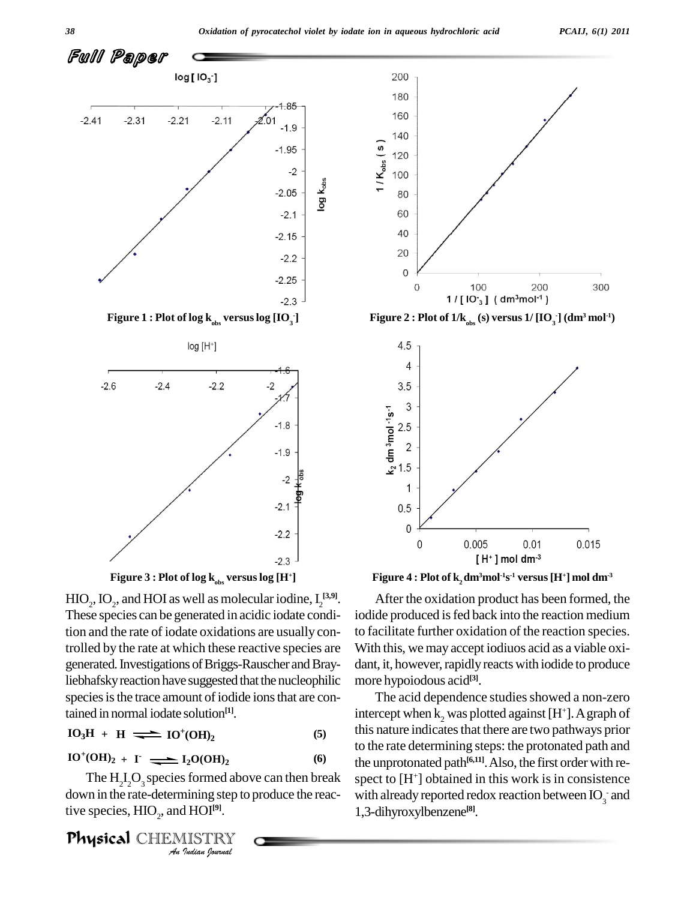

 $_{\text{obs}}$  **versus**  $\log$   $[\text{IO}_{\text{3}}]$ 





 $HIO_2$ ,  $IO_2$ , and  $HOI$  as well as molecular iodine,  $I_2^{[3,9]}$ . These species can be generated in acidic iodate condition and the rate of iodate oxidations are usually controlled by the rate at which these reactive species are generated. Investigations of Briggs-Rauscher and Brayliebhafsky reaction have suggested that the nucleophilic species is the trace amount of iodide ions that are contained in normal iodate solution **[1]**.

$$
IO3H + H \implies IO+(OH)2 \tag{5}
$$

$$
IO^{+}(OH)2 + I• \longrightarrow I2O(OH)2
$$
 (6)

*I<sub>2</sub>O(OH)<sub>2</sub>*<br>*S* formed abo<br>nining step to<br>*I* HOI<sup>[9]</sup>.<br>*IISTRY* The  $H_2I_2O_3$  species formed above can then break spect to down in the rate-determining step to produce the reactive species,  $HIO<sub>2</sub>$ , and  $HOI<sup>[9]</sup>$ .

Physical CHEMISTRY



Figure 1 : Plot of log k<sub>obs</sub> versus log [IO<sub>3</sub>] Figure 2 : Plot of 1/k<sub>obs</sub> (s) versus 1/ [IO<sub>3</sub>] (dm<sup>3</sup> mol<sup>1</sup>)



Figure 3 : Plot of log k<sub>obs</sub> versus log [H<sup>+</sup>] Figure 4 : Plot of k<sub>2</sub>dm<sup>3</sup>mol<sup>-1</sup>s<sup>-1</sup> versus [H<sup>+</sup>] mol dm<sup>-3</sup>

After the oxidation product has been formed, the iodide produced is fed back into the reaction medium to facilitate further oxidation of the reaction species. With this, we may accept iodiuos acid as a viable oxidant, it, however, rapidly reacts with iodide to produce more hypoiodous acid **[3]**.

The acid dependence studies showed a non-zero intercept when k<sub>2</sub> was plotted against [H<sup>+</sup>]. A graph of this nature indicates that there are two pathways prior to the rate determining steps: the protonated path and the unprotonated path<sup>[6,11]</sup>. Also, the first order with respect to  $[H^+]$  obtained in this work is in consistence with already reported redox reaction between  $IO_{3}^-$  and 1,3-dihyroxylbenzene **[8]**.